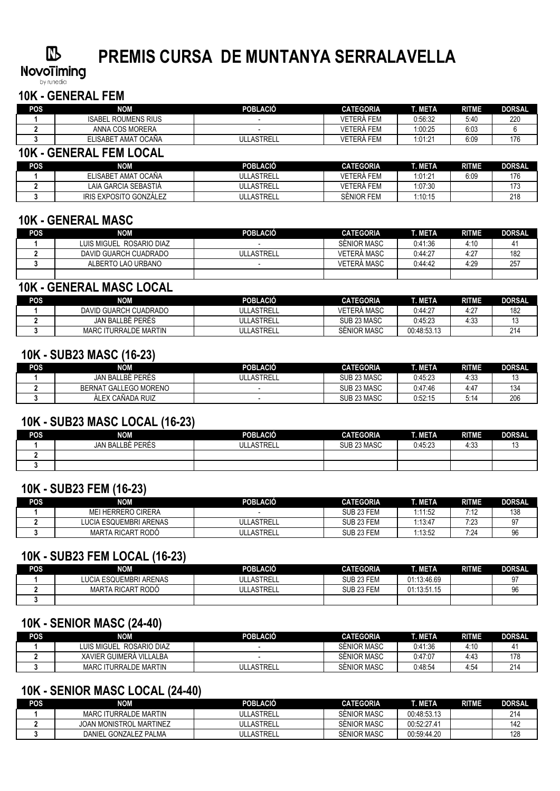## $\mathbb{R}$

# **PREMIS CURSA DE MUNTANYA SERRALAVELLA**

**NovoTiming** 

#### **10K - GENERAL FEM**

| <b>POS</b> | NOM                            | <b>POBLACIÓ</b>   | <b>CATEGORIA</b> | T. META | <b>RITME</b> | <b>DORSAL</b> |
|------------|--------------------------------|-------------------|------------------|---------|--------------|---------------|
|            | <b>ISABEL ROUMENS RIUS</b>     |                   | VETERÀ FEM       | 0:56:32 | 5:40         | 220           |
|            | ANNA COS MORERA                |                   | VETERÀ FEM       | 1:00:25 | 6:03         | 6             |
|            | ELISABET AMAT OCAÑA            | ULLASTRELL        | VETERÀ FEM       | 1:01:21 | 6:09         | 176           |
|            | <b>10K - GENERAL FEM LOCAL</b> |                   |                  |         |              |               |
| <b>POS</b> | <b>NOM</b>                     | <b>POBLACIÓ</b>   | <b>CATEGORIA</b> | T. META | <b>RITME</b> | <b>DORSAL</b> |
|            | ELISABET AMAT OCAÑA            | <b>ULLASTRELL</b> | VETERÀ FEM       | 1:01:21 | 6:09         | 176           |
|            | LAIA GARCIA SEBASTIA           | ULLASTRELL        | VETERÀ FEM       | 1:07:30 |              | 173           |

**3** IRIS EXPOSITO GONZÁLEZ ULLASTRELL SÈNIOR FEM 1:10:15 218

#### **10K - GENERAL MASC**

| <b>POS</b> | <b>NOM</b>               | <b>POBLACIÓ</b>   | <b>CATEGORIA</b> | <b>T. META</b> | <b>RITME</b> | <b>DORSAL</b> |
|------------|--------------------------|-------------------|------------------|----------------|--------------|---------------|
|            | LUIS MIGUEL ROSARIO DIAZ |                   | SENIOR MASC      | 0:41:36        | 4:10         |               |
|            | DAVID GUARCH CUADRADO    | <b>ULLASTRELL</b> | VETERÀ MASC      | 0:44:27        | 4:27         | 182           |
|            | ALBERTO LAO URBANO       |                   | VETERÀ MASC      | 0:44:42        | 4:29         | 257           |
|            |                          |                   |                  |                |              |               |

#### **10K - GENERAL MASC LOCAL**

| <b>POS</b> | NOM                   | <b>POBLACIO</b>   | CATEGORIA          | TMETA       | RITME     | <b>DORSAL</b> |
|------------|-----------------------|-------------------|--------------------|-------------|-----------|---------------|
|            | DAVID GUARCH CUADRADO | <b>ULLASTRELL</b> | VETERÀ MASC        | 0:44:27     | $4:2^{-}$ | 182           |
|            | JAN BALLBÉ PERÉS      | <b>ULLASTRELL</b> | SUB 23 MASC        | 0:45:23     | 4:33      | J             |
|            | MARC ITURRALDE MARTIN | ULLASTRELL        | <b>SENIOR MASC</b> | 00:48:53.13 |           | 214           |

#### **10K - SUB23 MASC (16-23)**

| POS | NOM                   | POBLACIÓ       | <b>CATEGORIA</b> | T. META | <b>RITME</b> | <b>DORSAL</b> |
|-----|-----------------------|----------------|------------------|---------|--------------|---------------|
|     | JAN BALLBÉ PERÉS      | LASTRELL<br>ul | SUB 23 MASC      | 0:45:23 | 4:33         |               |
|     | BERNAT GALLEGO MORENO |                | SUB 23 MASC      | 0:47:46 | 4:47         | 134           |
|     | ALEX CAÑADA RUIZ      |                | SUB 23 MASC      | 0:52:15 |              | 206           |

#### **10K - SUB23 MASC LOCAL (16-23)**

| POS | NOM              | <b>POBLACIÓ</b> | <b>CATEGORIA</b> | T. META ' | <b>RITME</b> | <b>DORSAL</b> |
|-----|------------------|-----------------|------------------|-----------|--------------|---------------|
|     | JAN BALLBÈ PERÉS | ULLASTRELL      | SUB 23 MASC      | 0:45:23   | 4:33         | . ب           |
|     |                  |                 |                  |           |              |               |
|     |                  |                 |                  |           |              |               |

#### **10K - SUB23 FEM (16-23)**

| <b>POS</b> | <b>NOM</b>                | <b>POBLACIÓ</b> | <b>CATEGORIA</b> | <b>TIMETA</b> | <b>RITME</b> | <b>DORSAL</b> |
|------------|---------------------------|-----------------|------------------|---------------|--------------|---------------|
|            | <b>MEI HERRERO CIRERA</b> |                 | SUB 23 FEM       | 1:11:52       | 7:12         | 138           |
|            | LUCIA ESQUEMBRI ARENAS    | ULLASTRELL      | SUB 23 FEM       | 1:13:47       | 7:23         | ، ت           |
|            | MARTA RICART RODO         | ULLASTRELL      | SUB 23 FEM       | 1:13:52       | 7:24         | 96            |

#### **10K - SUB23 FEM LOCAL (16-23)**

| POS | <b>NOM</b>             | <b>POBLACIÓ</b>   | <b>CATEGORIA</b> | T. META     | <b>RITME</b> | <b>DORSAL</b> |
|-----|------------------------|-------------------|------------------|-------------|--------------|---------------|
|     | LUCIA ESQUEMBRI ARENAS | <b>ULLASTRELL</b> | SUB 23 FEM       | 01:13:46.69 |              | 07            |
|     | MARTA RICART RODO      | <b>ULLASTRELL</b> | SUB 23 FEM       | 01:13:51.15 |              | 96            |
|     |                        |                   |                  |             |              |               |

### **10K - SENIOR MASC (24-40)**

| POS | <b>NOM</b>               | <b>POBLACIÓ</b> | <b>CATEGORIA</b> | T. META | <b>RITME</b> | <b>DORSAL</b> |
|-----|--------------------------|-----------------|------------------|---------|--------------|---------------|
|     | LUIS MIGUEL ROSARIO DIAZ |                 | SÉNIOR MASC      | 0:41:36 | 4:10         |               |
|     | XAVIER GUIMERA VILLALBA  |                 | SÉNIOR MASC      | 0:47:07 | 4:43         | 178           |
|     | MARC ITURRALDE MARTIN    | ULLASTRELL      | SÉNIOR MASC      | 0:48:54 | 4:54         | 214           |

### **10K - SENIOR MASC LOCAL (24-40)**

| POS | NOM                            | <b>POBLACIO</b> | <b>CATEGORIA</b>   | <b>T. META</b> | <b>RITME</b> | <b>DORSAL</b> |
|-----|--------------------------------|-----------------|--------------------|----------------|--------------|---------------|
|     | MARC ITURRALDE MARTIN          | ULLASTRELL      | <b>SENIOR MASC</b> | 00:48:53.13    |              | 214           |
|     | <b>JOAN MONISTROL MARTINEZ</b> | ULLASTRELL      | <b>SENIOR MASC</b> | 00:52:27.41    |              | 142           |
|     | DANIEL GONZALEZ PALMA          | ULLASTRELL      | SÉNIOR MASC        | 00:59:44.20    |              | 128           |